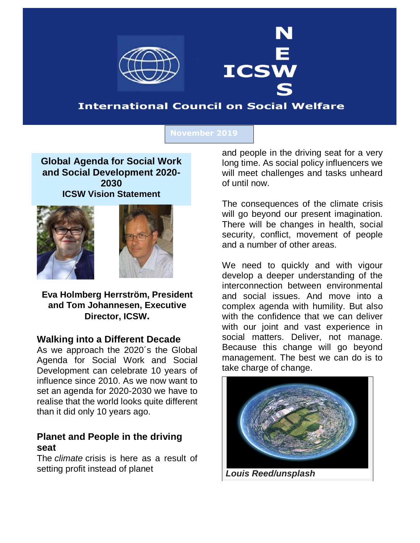

# **International Council on Social Welfare**

**ICSW** 

### **November 2019**

**Global Agenda for Social Work and Social Development 2020- 2030 ICSW Vision Statement**





**Eva Holmberg Herrström, President and Tom Johannesen, Executive Director, ICSW.**

### **Walking into a Different Decade**

As we approach the 2020´s the Global Agenda for Social Work and Social Development can celebrate 10 years of influence since 2010. As we now want to set an agenda for 2020-2030 we have to realise that the world looks quite different than it did only 10 years ago.

### **Planet and People in the driving seat**

The *climate* crisis is here as a result of setting profit instead of planet

and people in the driving seat for a very long time. As social policy influencers we will meet challenges and tasks unheard of until now.

The consequences of the climate crisis will go beyond our present imagination. There will be changes in health, social security, conflict, movement of people and a number of other areas.

We need to quickly and with vigour develop a deeper understanding of the interconnection between environmental and social issues. And move into a complex agenda with humility. But also with the confidence that we can deliver with our joint and vast experience in social matters. Deliver, not manage. Because this change will go beyond management. The best we can do is to take charge of change.



*Louis Reed/unsplash*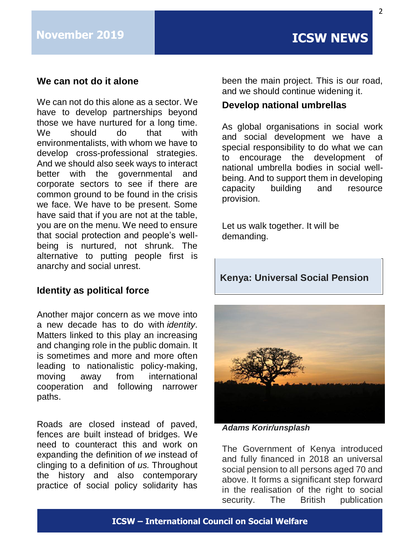## **We can not do it alone**

We can not do this alone as a sector. We have to develop partnerships beyond those we have nurtured for a long time. We should do that with environmentalists, with whom we have to develop cross-professional strategies. And we should also seek ways to interact better with the governmental and corporate sectors to see if there are common ground to be found in the crisis we face. We have to be present. Some have said that if you are not at the table, you are on the menu. We need to ensure that social protection and people's wellbeing is nurtured, not shrunk. The alternative to putting people first is anarchy and social unrest.

## **Identity as political force**

Another major concern as we move into a new decade has to do with *identity*. Matters linked to this play an increasing and changing role in the public domain. It is sometimes and more and more often leading to nationalistic policy-making, moving away from international cooperation and following narrower paths.

Roads are closed instead of paved, fences are built instead of bridges. We need to counteract this and work on expanding the definition of *we* instead of clinging to a definition of *us.* Throughout the history and also contemporary practice of social policy solidarity has

been the main project. This is our road, and we should continue widening it.

### **Develop national umbrellas**

As global organisations in social work and social development we have a special responsibility to do what we can to encourage the development of national umbrella bodies in social wellbeing. And to support them in developing capacity building and resource provision.

Let us walk together. It will be demanding.

## **Kenya: Universal Social Pension**



*Adams Korir/unsplash*

The Government of Kenya introduced and fully financed in 2018 an universal social pension to all persons aged 70 and above. It forms a significant step forward in the realisation of the right to social security. The British publication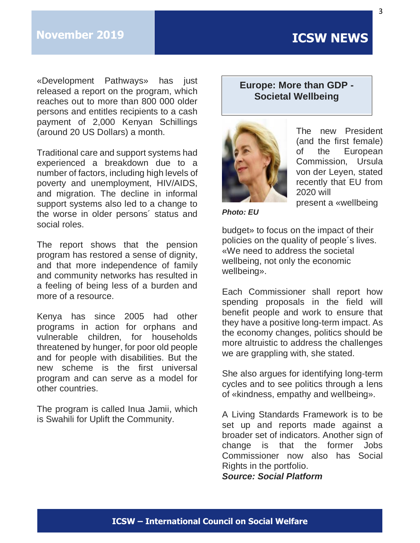# **November 2019 ICSW NEWS**

«Development Pathways» has just released a report on the program, which reaches out to more than 800 000 older persons and entitles recipients to a cash payment of 2,000 Kenyan Schillings (around 20 US Dollars) a month.

Traditional care and support systems had experienced a breakdown due to a number of factors, including high levels of poverty and unemployment, HIV/AIDS, and migration. The decline in informal support systems also led to a change to the worse in older persons´ status and social roles.

The report shows that the pension program has restored a sense of dignity, and that more independence of family and community networks has resulted in a feeling of being less of a burden and more of a resource.

Kenya has since 2005 had other programs in action for orphans and vulnerable children, for households threatened by hunger, for poor old people and for people with disabilities. But the new scheme is the first universal program and can serve as a model for other countries.

The program is called Inua Jamii, which is Swahili for Uplift the Community.

## **Europe: More than GDP - Societal Wellbeing**



The new President (and the first female) of the European Commission, Ursula von der Leyen, stated recently that EU from 2020 will present a «wellbeing

*Photo: EU*

budget» to focus on the impact of their policies on the quality of people´s lives. «We need to address the societal wellbeing, not only the economic wellbeing».

Each Commissioner shall report how spending proposals in the field will benefit people and work to ensure that they have a positive long-term impact. As the economy changes, politics should be more altruistic to address the challenges we are grappling with, she stated.

She also argues for identifying long-term cycles and to see politics through a lens of «kindness, empathy and wellbeing».

A Living Standards Framework is to be set up and reports made against a broader set of indicators. Another sign of change is that the former Jobs Commissioner now also has Social Rights in the portfolio. *Source: Social Platform*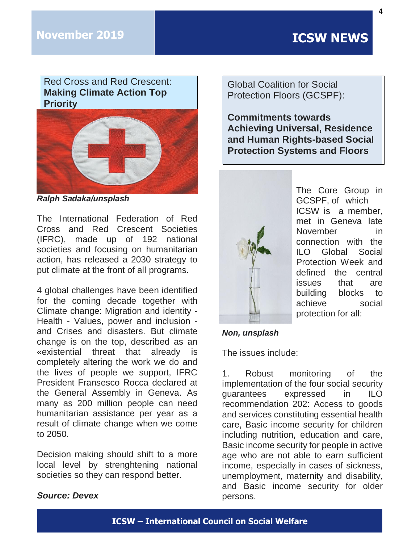Red Cross and Red Crescent: **Making Climate Action Top Priority**



*Ralph Sadaka/unsplash*

The International Federation of Red Cross and Red Crescent Societies (IFRC), made up of 192 national societies and focusing on humanitarian action, has released a 2030 strategy to put climate at the front of all programs.

4 global challenges have been identified for the coming decade together with Climate change: Migration and identity - Health - Values, power and inclusion and Crises and disasters. But climate change is on the top, described as an «existential threat that already is completely altering the work we do and the lives of people we support, IFRC President Fransesco Rocca declared at the General Assembly in Geneva. As many as 200 million people can need humanitarian assistance per year as a result of climate change when we come to 2050.

Decision making should shift to a more local level by strenghtening national societies so they can respond better.

## Global Coalition for Social Protection Floors (GCSPF):

**Commitments towards Achieving Universal, Residence and Human Rights-based Social Protection Systems and Floors**



The Core Group in GCSPF, of which ICSW is a member, met in Geneva late November in connection with the ILO Global Social Protection Week and defined the central issues that are building blocks to achieve social protection for all:

### *Non, unsplash*

The issues include:

1. Robust monitoring of the implementation of the four social security guarantees expressed in ILO recommendation 202: Access to goods and services constituting essential health care, Basic income security for children including nutrition, education and care, Basic income security for people in active age who are not able to earn sufficient income, especially in cases of sickness, unemployment, maternity and disability, and Basic income security for older persons.

## *Source: Devex*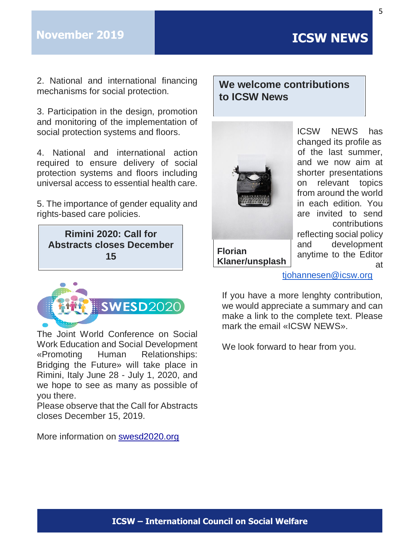2. National and international financing mechanisms for social protection.

3. Participation in the design, promotion and monitoring of the implementation of social protection systems and floors.

4. National and international action required to ensure delivery of social protection systems and floors including universal access to essential health care.

5. The importance of gender equality and rights-based care policies.

**Rimini 2020: Call for Abstracts closes December 15** 



The Joint World Conference on Social Work Education and Social Development «Promoting Human Relationships: Bridging the Future» will take place in Rimini, Italy June 28 - July 1, 2020, and we hope to see as many as possible of you there.

Please observe that the Call for Abstracts closes December 15, 2019.

More information on [swesd2020.org](http://swesd2020.org/)

# **We welcome contributions to ICSW News**



ICSW NEWS has changed its profile as of the last summer, and we now aim at shorter presentations on relevant topics from around the world in each edition. You are invited to send contributions reflecting social policy and development

anytime to the Editor

at

### **Florian Klaner/unsplash**

[tjohannesen@icsw.org](mailto:tjohannesen@icsw.org)

If you have a more lenghty contribution, we would appreciate a summary and can make a link to the complete text. Please mark the email «ICSW NEWS».

We look forward to hear from you.